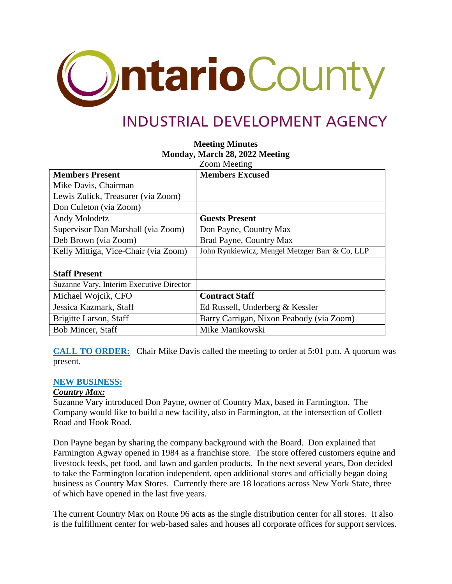

# **INDUSTRIAL DEVELOPMENT AGENCY**

# **Meeting Minutes Monday, March 28, 2022 Meeting**

|                                          | <b>Zoom Meeting</b>                            |
|------------------------------------------|------------------------------------------------|
| <b>Members Present</b>                   | <b>Members Excused</b>                         |
| Mike Davis, Chairman                     |                                                |
| Lewis Zulick, Treasurer (via Zoom)       |                                                |
| Don Culeton (via Zoom)                   |                                                |
| Andy Molodetz                            | <b>Guests Present</b>                          |
| Supervisor Dan Marshall (via Zoom)       | Don Payne, Country Max                         |
| Deb Brown (via Zoom)                     | Brad Payne, Country Max                        |
| Kelly Mittiga, Vice-Chair (via Zoom)     | John Rynkiewicz, Mengel Metzger Barr & Co, LLP |
|                                          |                                                |
| <b>Staff Present</b>                     |                                                |
| Suzanne Vary, Interim Executive Director |                                                |
| Michael Wojcik, CFO                      | <b>Contract Staff</b>                          |
| Jessica Kazmark, Staff                   | Ed Russell, Underberg & Kessler                |
| Brigitte Larson, Staff                   | Barry Carrigan, Nixon Peabody (via Zoom)       |
| <b>Bob Mincer, Staff</b>                 | Mike Manikowski                                |

**CALL TO ORDER:** Chair Mike Davis called the meeting to order at 5:01 p.m. A quorum was present.

#### **NEW BUSINESS:**

#### *Country Max:*

Suzanne Vary introduced Don Payne, owner of Country Max, based in Farmington. The Company would like to build a new facility, also in Farmington, at the intersection of Collett Road and Hook Road.

Don Payne began by sharing the company background with the Board. Don explained that Farmington Agway opened in 1984 as a franchise store. The store offered customers equine and livestock feeds, pet food, and lawn and garden products. In the next several years, Don decided to take the Farmington location independent, open additional stores and officially began doing business as Country Max Stores. Currently there are 18 locations across New York State, three of which have opened in the last five years.

The current Country Max on Route 96 acts as the single distribution center for all stores. It also is the fulfillment center for web-based sales and houses all corporate offices for support services.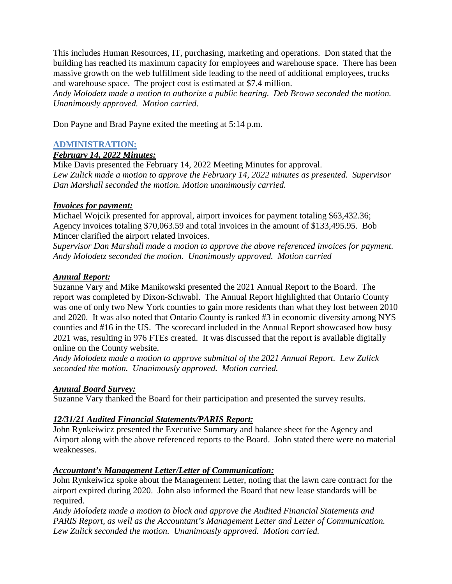This includes Human Resources, IT, purchasing, marketing and operations. Don stated that the building has reached its maximum capacity for employees and warehouse space. There has been massive growth on the web fulfillment side leading to the need of additional employees, trucks and warehouse space. The project cost is estimated at \$7.4 million.

*Andy Molodetz made a motion to authorize a public hearing. Deb Brown seconded the motion. Unanimously approved. Motion carried.*

Don Payne and Brad Payne exited the meeting at 5:14 p.m.

# **ADMINISTRATION:**

#### *February 14, 2022 Minutes:*

Mike Davis presented the February 14, 2022 Meeting Minutes for approval. *Lew Zulick made a motion to approve the February 14, 2022 minutes as presented. Supervisor Dan Marshall seconded the motion. Motion unanimously carried.*

#### *Invoices for payment:*

Michael Wojcik presented for approval, airport invoices for payment totaling \$63,432.36; Agency invoices totaling \$70,063.59 and total invoices in the amount of \$133,495.95. Bob Mincer clarified the airport related invoices.

*Supervisor Dan Marshall made a motion to approve the above referenced invoices for payment. Andy Molodetz seconded the motion. Unanimously approved. Motion carried*

# *Annual Report:*

Suzanne Vary and Mike Manikowski presented the 2021 Annual Report to the Board. The report was completed by Dixon-Schwabl. The Annual Report highlighted that Ontario County was one of only two New York counties to gain more residents than what they lost between 2010 and 2020. It was also noted that Ontario County is ranked #3 in economic diversity among NYS counties and #16 in the US. The scorecard included in the Annual Report showcased how busy 2021 was, resulting in 976 FTEs created. It was discussed that the report is available digitally online on the County website.

*Andy Molodetz made a motion to approve submittal of the 2021 Annual Report. Lew Zulick seconded the motion. Unanimously approved. Motion carried.*

#### *Annual Board Survey:*

Suzanne Vary thanked the Board for their participation and presented the survey results.

# *12/31/21 Audited Financial Statements/PARIS Report:*

John Rynkeiwicz presented the Executive Summary and balance sheet for the Agency and Airport along with the above referenced reports to the Board. John stated there were no material weaknesses.

#### *Accountant's Management Letter/Letter of Communication:*

John Rynkeiwicz spoke about the Management Letter, noting that the lawn care contract for the airport expired during 2020. John also informed the Board that new lease standards will be required.

*Andy Molodetz made a motion to block and approve the Audited Financial Statements and PARIS Report, as well as the Accountant's Management Letter and Letter of Communication. Lew Zulick seconded the motion. Unanimously approved. Motion carried.*